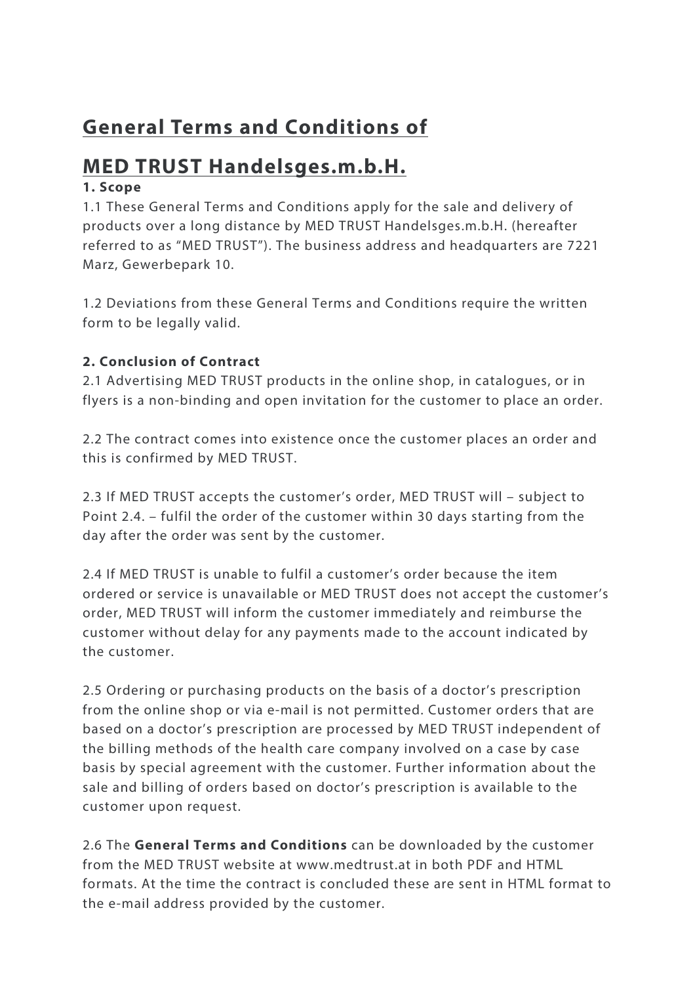# **General Terms and Conditions of**

## **MED TRUST Handelsges.m.b.H.**

## **1. Scope**

1.1 These General Terms and Conditions apply for the sale and delivery of products over a long distance by MED TRUST Handelsges.m.b.H. (hereafter referred to as "MED TRUST"). The business address and headquarters are 7221 Marz, Gewerbepark 10.

1.2 Deviations from these General Terms and Conditions require the written form to be legally valid.

## **2. Conclusion of Contract**

2.1 Advertising MED TRUST products in the online shop, in catalogues, or in flyers is a non-binding and open invitation for the customer to place an order.

2.2 The contract comes into existence once the customer places an order and this is confirmed by MED TRUST.

2.3 If MED TRUST accepts the customer's order, MED TRUST will – subject to Point 2.4. – fulfil the order of the customer within 30 days starting from the day after the order was sent by the customer.

2.4 If MED TRUST is unable to fulfil a customer's order because the item ordered or service is unavailable or MED TRUST does not accept the customer's order, MED TRUST will inform the customer immediately and reimburse the customer without delay for any payments made to the account indicated by the customer.

2.5 Ordering or purchasing products on the basis of a doctor's prescription from the online shop or via e-mail is not permitted. Customer orders that are based on a doctor's prescription are processed by MED TRUST independent of the billing methods of the health care company involved on a case by case basis by special agreement with the customer. Further information about the sale and billing of orders based on doctor's prescription is available to the customer upon request.

2.6 The **General Terms and Conditions** can be downloaded by the customer from the MED TRUST website at www.medtrust.at in both PDF and HTML formats. At the time the contract is concluded these are sent in HTML format to the e-mail address provided by the customer.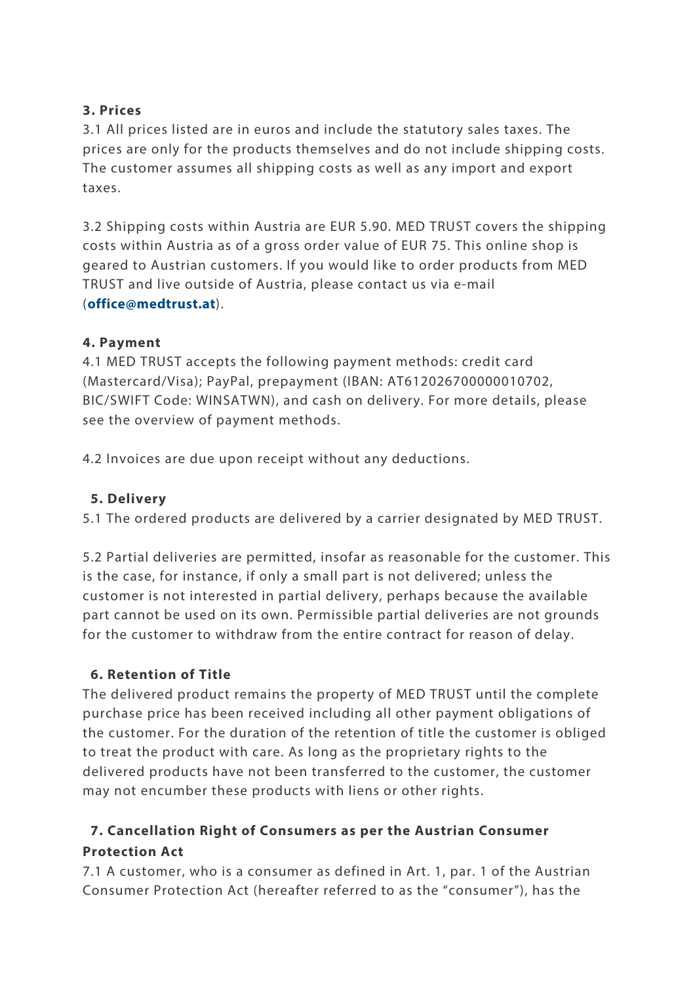### **3. Prices**

3.1 All prices listed are in euros and include the statutory sales taxes. The prices are only for the products themselves and do not include shipping costs. The customer assumes all shipping costs as well as any import and export taxes.

3.2 Shipping costs within Austria are EUR 5.90. MED TRUST covers the shipping costs within Austria as of a gross order value of EUR 75. This online shop is geared to Austrian customers. If you would like to order products from MED TRUST and live outside of Austria, please contact us via e-mail (**office@medtrust.at**).

## **4. Payment**

4.1 MED TRUST accepts the following payment methods: credit card (Mastercard/Visa); PayPal, prepayment (IBAN: AT612026700000010702, BIC/SWIFT Code: WINSATWN), and cash on delivery. For more details, please see the overview of payment methods.

4.2 Invoices are due upon receipt without any deductions.

## **5. Delivery**

5.1 The ordered products are delivered by a carrier designated by MED TRUST.

5.2 Partial deliveries are permitted, insofar as reasonable for the customer. This is the case, for instance, if only a small part is not delivered; unless the customer is not interested in partial delivery, perhaps because the available part cannot be used on its own. Permissible partial deliveries are not grounds for the customer to withdraw from the entire contract for reason of delay.

## **6. Retention of Title**

The delivered product remains the property of MED TRUST until the complete purchase price has been received including all other payment obligations of the customer. For the duration of the retention of title the customer is obliged to treat the product with care. As long as the proprietary rights to the delivered products have not been transferred to the customer, the customer may not encumber these products with liens or other rights.

## **7. Cancellation Right of Consumers as per the Austrian Consumer Protection Act**

7.1 A customer, who is a consumer as defined in Art. 1, par. 1 of the Austrian Consumer Protection Act (hereafter referred to as the "consumer"), has the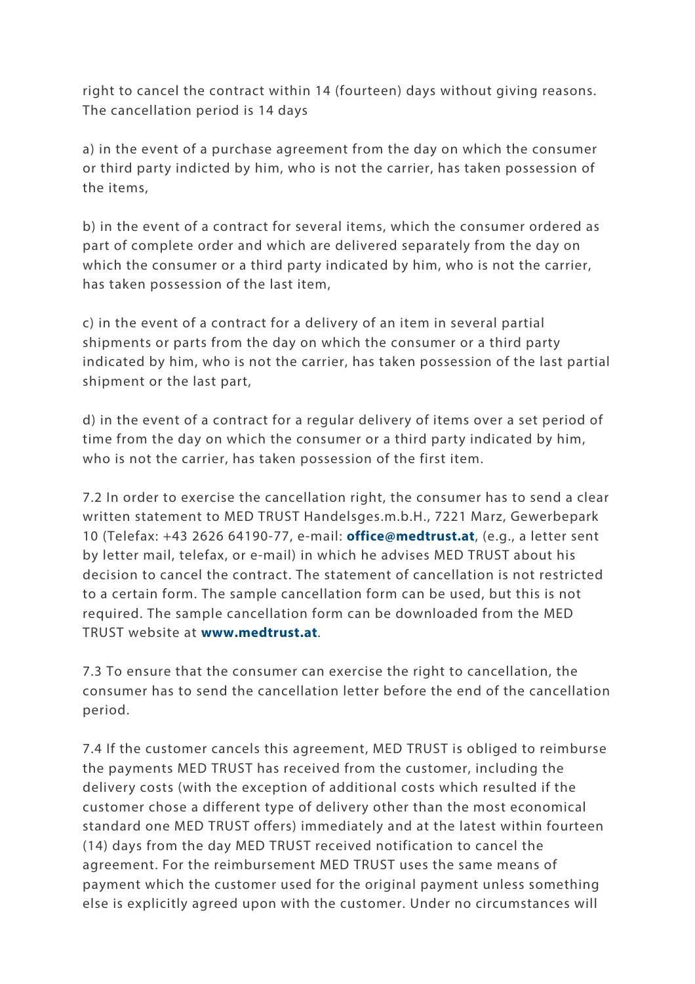right to cancel the contract within 14 (fourteen) days without giving reasons. The cancellation period is 14 days

a) in the event of a purchase agreement from the day on which the consumer or third party indicted by him, who is not the carrier, has taken possession of the items,

b) in the event of a contract for several items, which the consumer ordered as part of complete order and which are delivered separately from the day on which the consumer or a third party indicated by him, who is not the carrier, has taken possession of the last item,

c) in the event of a contract for a delivery of an item in several partial shipments or parts from the day on which the consumer or a third party indicated by him, who is not the carrier, has taken possession of the last partial shipment or the last part,

d) in the event of a contract for a regular delivery of items over a set period of time from the day on which the consumer or a third party indicated by him, who is not the carrier, has taken possession of the first item.

7.2 In order to exercise the cancellation right, the consumer has to send a clear written statement to MED TRUST Handelsges.m.b.H., 7221 Marz, Gewerbepark 10 (Telefax: +43 2626 64190-77, e-mail: **office@medtrust.at**, (e.g., a letter sent by letter mail, telefax, or e-mail) in which he advises MED TRUST about his decision to cancel the contract. The statement of cancellation is not restricted to a certain form. The sample cancellation form can be used, but this is not required. The sample cancellation form can be downloaded from the MED TRUST website at **www.medtrust.at**.

7.3 To ensure that the consumer can exercise the right to cancellation, the consumer has to send the cancellation letter before the end of the cancellation period.

7.4 If the customer cancels this agreement, MED TRUST is obliged to reimburse the payments MED TRUST has received from the customer, including the delivery costs (with the exception of additional costs which resulted if the customer chose a different type of delivery other than the most economical standard one MED TRUST offers) immediately and at the latest within fourteen (14) days from the day MED TRUST received notification to cancel the agreement. For the reimbursement MED TRUST uses the same means of payment which the customer used for the original payment unless something else is explicitly agreed upon with the customer. Under no circumstances will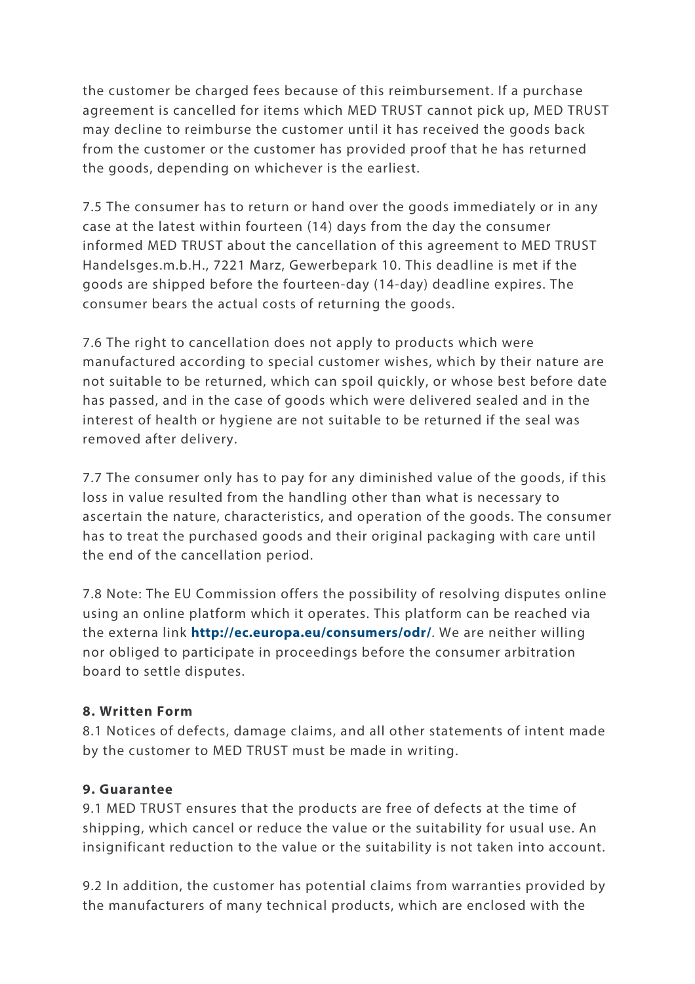the customer be charged fees because of this reimbursement. If a purchase agreement is cancelled for items which MED TRUST cannot pick up, MED TRUST may decline to reimburse the customer until it has received the goods back from the customer or the customer has provided proof that he has returned the goods, depending on whichever is the earliest.

7.5 The consumer has to return or hand over the goods immediately or in any case at the latest within fourteen (14) days from the day the consumer informed MED TRUST about the cancellation of this agreement to MED TRUST Handelsges.m.b.H., 7221 Marz, Gewerbepark 10. This deadline is met if the goods are shipped before the fourteen-day (14-day) deadline expires. The consumer bears the actual costs of returning the goods.

7.6 The right to cancellation does not apply to products which were manufactured according to special customer wishes, which by their nature are not suitable to be returned, which can spoil quickly, or whose best before date has passed, and in the case of goods which were delivered sealed and in the interest of health or hygiene are not suitable to be returned if the seal was removed after delivery.

7.7 The consumer only has to pay for any diminished value of the goods, if this loss in value resulted from the handling other than what is necessary to ascertain the nature, characteristics, and operation of the goods. The consumer has to treat the purchased goods and their original packaging with care until the end of the cancellation period.

7.8 Note: The EU Commission offers the possibility of resolving disputes online using an online platform which it operates. This platform can be reached via the externa link **http://ec.europa.eu/consumers/odr/**. We are neither willing nor obliged to participate in proceedings before the consumer arbitration board to settle disputes.

#### **8. Written Form**

8.1 Notices of defects, damage claims, and all other statements of intent made by the customer to MED TRUST must be made in writing.

#### **9. Guarantee**

9.1 MED TRUST ensures that the products are free of defects at the time of shipping, which cancel or reduce the value or the suitability for usual use. An insignificant reduction to the value or the suitability is not taken into account.

9.2 In addition, the customer has potential claims from warranties provided by the manufacturers of many technical products, which are enclosed with the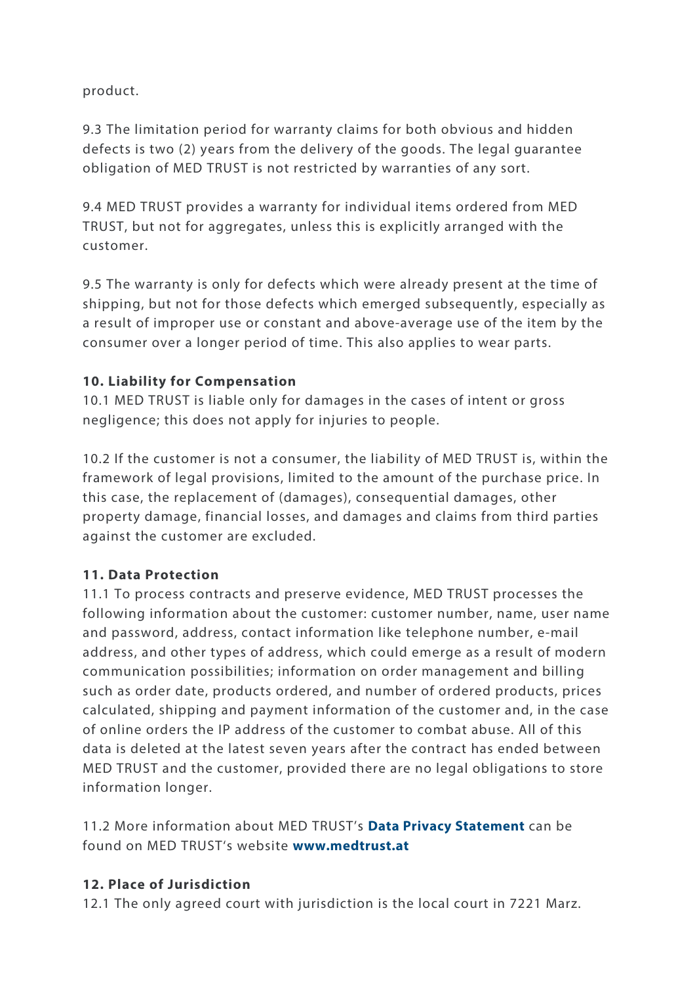product.

9.3 The limitation period for warranty claims for both obvious and hidden defects is two (2) years from the delivery of the goods. The legal guarantee obligation of MED TRUST is not restricted by warranties of any sort.

9.4 MED TRUST provides a warranty for individual items ordered from MED TRUST, but not for aggregates, unless this is explicitly arranged with the customer.

9.5 The warranty is only for defects which were already present at the time of shipping, but not for those defects which emerged subsequently, especially as a result of improper use or constant and above-average use of the item by the consumer over a longer period of time. This also applies to wear parts.

## **10. Liability for Compensation**

10.1 MED TRUST is liable only for damages in the cases of intent or gross negligence; this does not apply for injuries to people.

10.2 If the customer is not a consumer, the liability of MED TRUST is, within the framework of legal provisions, limited to the amount of the purchase price. In this case, the replacement of (damages), consequential damages, other property damage, financial losses, and damages and claims from third parties against the customer are excluded.

## **11. Data Protection**

11.1 To process contracts and preserve evidence, MED TRUST processes the following information about the customer: customer number, name, user name and password, address, contact information like telephone number, e-mail address, and other types of address, which could emerge as a result of modern communication possibilities; information on order management and billing such as order date, products ordered, and number of ordered products, prices calculated, shipping and payment information of the customer and, in the case of online orders the IP address of the customer to combat abuse. All of this data is deleted at the latest seven years after the contract has ended between MED TRUST and the customer, provided there are no legal obligations to store information longer.

11.2 More information about MED TRUST's **Data Privacy Statement** can be found on MED TRUST's website **www.medtrust.at**

## **12. Place of Jurisdiction**

12.1 The only agreed court with jurisdiction is the local court in 7221 Marz.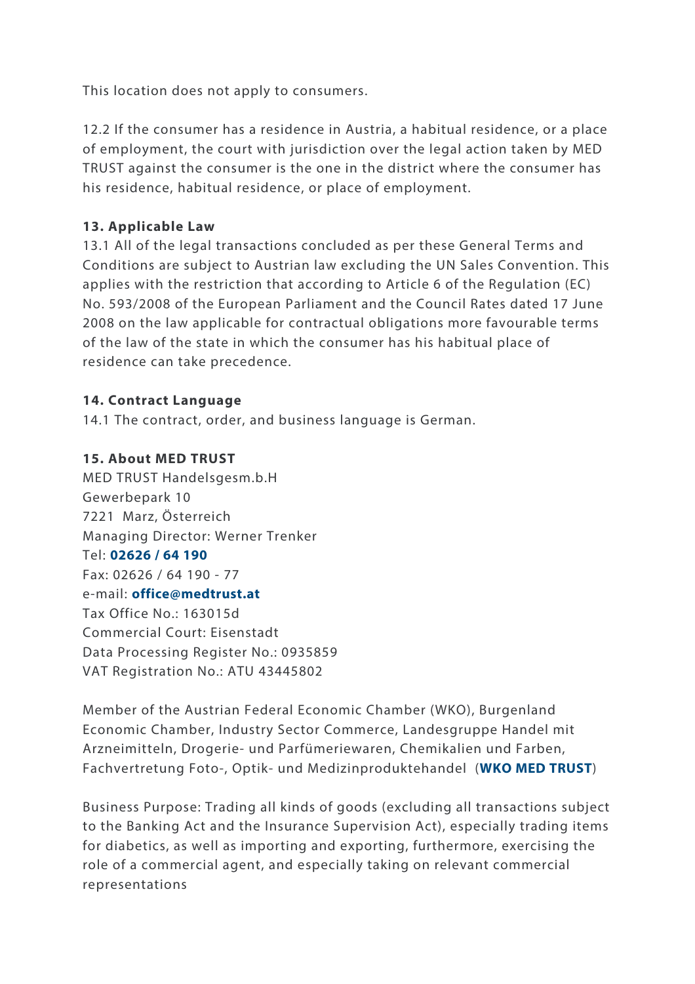This location does not apply to consumers.

12.2 If the consumer has a residence in Austria, a habitual residence, or a place of employment, the court with jurisdiction over the legal action taken by MED TRUST against the consumer is the one in the district where the consumer has his residence, habitual residence, or place of employment.

#### **13. Applicable Law**

13.1 All of the legal transactions concluded as per these General Terms and Conditions are subject to Austrian law excluding the UN Sales Convention. This applies with the restriction that according to Article 6 of the Regulation (EC) No. 593/2008 of the European Parliament and the Council Rates dated 17 June 2008 on the law applicable for contractual obligations more favourable terms of the law of the state in which the consumer has his habitual place of residence can take precedence.

#### **14. Contract Language**

14.1 The contract, order, and business language is German.

#### **15. About MED TRUST**

MED TRUST Handelsgesm.b.H Gewerbepark 10 7221 Marz, Österreich Managing Director: Werner Trenker Tel: **02626 / 64 190** Fax: 02626 / 64 190 - 77 e-mail: **office@medtrust.at** Tax Office No.: 163015d Commercial Court: Eisenstadt Data Processing Register No.: 0935859 VAT Registration No.: ATU 43445802

Member of the Austrian Federal Economic Chamber (WKO), Burgenland Economic Chamber, Industry Sector Commerce, Landesgruppe Handel mit Arzneimitteln, Drogerie- und Parfümeriewaren, Chemikalien und Farben, Fachvertretung Foto-, Optik- und Medizinproduktehandel (**WKO MED TRUST**)

Business Purpose: Trading all kinds of goods (excluding all transactions subject to the Banking Act and the Insurance Supervision Act), especially trading items for diabetics, as well as importing and exporting, furthermore, exercising the role of a commercial agent, and especially taking on relevant commercial representations